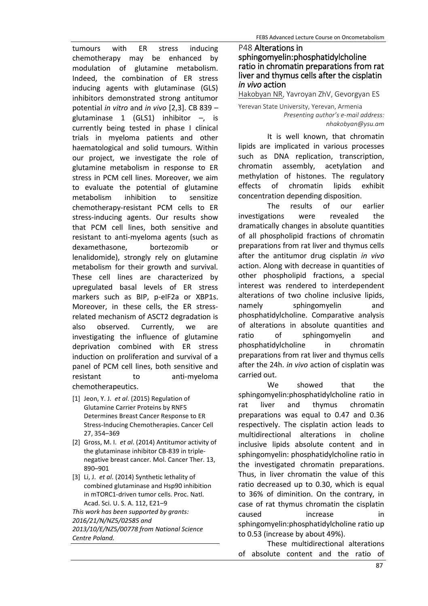tumours with ER stress inducing chemotherapy may be enhanced by modulation of glutamine metabolism. Indeed, the combination of ER stress inducing agents with glutaminase (GLS) inhibitors demonstrated strong antitumor potential *in vitro* and *in vivo* [2,3]. CB 839 – glutaminase 1 (GLS1) inhibitor –, is currently being tested in phase I clinical trials in myeloma patients and other haematological and solid tumours. Within our project, we investigate the role of glutamine metabolism in response to ER stress in PCM cell lines. Moreover, we aim to evaluate the potential of glutamine metabolism inhibition to sensitize chemotherapy-resistant PCM cells to ER stress-inducing agents. Our results show that PCM cell lines, both sensitive and resistant to anti-myeloma agents (such as dexamethasone, bortezomib or lenalidomide), strongly rely on glutamine metabolism for their growth and survival. These cell lines are characterized by upregulated basal levels of ER stress markers such as BIP, p-eIF2a or XBP1s. Moreover, in these cells, the ER stressrelated mechanism of ASCT2 degradation is also observed. Currently, we are investigating the influence of glutamine deprivation combined with ER stress induction on proliferation and survival of a panel of PCM cell lines, both sensitive and resistant to anti-myeloma chemotherapeutics.

- [1] Jeon, Y. J. *et al*. (2015) Regulation of Glutamine Carrier Proteins by RNF5 Determines Breast Cancer Response to ER Stress-Inducing Chemotherapies. Cancer Cell 27, 354–369
- [2] Gross, M. I. *et al*. (2014) Antitumor activity of the glutaminase inhibitor CB-839 in triplenegative breast cancer. Mol. Cancer Ther. 13, 890–901
- [3] Li, J. *et al*. (2014) Synthetic lethality of combined glutaminase and Hsp90 inhibition in mTORC1-driven tumor cells. Proc. Natl. Acad. Sci. U. S. A. 112, E21–9

*This work has been supported by grants: 2016/21/N/NZ5/02585 and 2013/10/E/NZ5/00778 from National Science Centre Poland.*

## P48 Alterations in sphingomyelin:phosphatidylcholine ratio in chromatin preparations from rat liver and thymus cells after the cisplatin *in vivo* action

Hakobyan NR, Yavroyan ZhV, Gevorgyan ES

Yerevan State University, Yerevan, Armenia *Presenting author's e-mail address: nhakobyan@ysu.am*

It is well known, that chromatin lipids are implicated in various processes such as DNA replication, transcription, chromatin assembly, acetylation and methylation of histones. The regulatory effects of chromatin lipids exhibit

concentration depending disposition.<br>The results of our The results of our earlier investigatiоns were revealed the dramatically changes in absolute quantities of all phospholipid fractions of chromatin preparations from rat liver and thymus cells after the antitumor drug cisplatin *in vivo* action. Along with decrease in quantities of other phospholipid fractions, [a special](http://www.lingvo.ua/ru/Search/Translate/GlossaryItemExtraInfo?text=%d0%be%d1%81%d0%be%d0%b1%d1%8b%d0%b9%20%d0%b8%d0%bd%d1%82%d0%b5%d1%80%d0%b5%d1%81%20%d0%bf%d1%80%d0%b5%d0%b4%d1%81%d1%82%d0%b0%d0%b2%d0%bb%d1%8f%d1%82%d1%8c&translation=of%20special%20interest%20is&srcLang=ru&destLang=en)  [interest w](http://www.lingvo.ua/ru/Search/Translate/GlossaryItemExtraInfo?text=%d0%be%d1%81%d0%be%d0%b1%d1%8b%d0%b9%20%d0%b8%d0%bd%d1%82%d0%b5%d1%80%d0%b5%d1%81%20%d0%bf%d1%80%d0%b5%d0%b4%d1%81%d1%82%d0%b0%d0%b2%d0%bb%d1%8f%d1%82%d1%8c&translation=of%20special%20interest%20is&srcLang=ru&destLang=en)as [rendere](http://www.lingvo.ua/ru/Search/Translate/GlossaryItemExtraInfo?text=%d0%bf%d1%80%d0%b5%d0%b4%d1%81%d1%82%d0%b0%d0%b2%d0%bb%d1%8f%d1%82%d1%8c&translation=render&srcLang=ru&destLang=en)d to [interdependent](http://www.lingvo.ua/ru/Search/Translate/GlossaryItemExtraInfo?text=%d0%b2%d0%b7%d0%b0%d0%b8%d0%bc%d0%be%d0%b7%d0%b0%d0%b2%d0%b8%d1%81%d0%b8%d0%bc%d1%8b%d0%b9&translation=interdependent&srcLang=ru&destLang=en) alterations of two choline inclusive lipids, namely sphingomyelin and phosphatidylcholine. Comparative analysis of alterations in absolute quantities and ratio of sphingomyelin and phosphatidylcholine in chromatin preparations from rat liver and thymus cells after the 24h. *in vivo* action of cisplatin was carried out.

We showed that the sphingomyelin:phosphatidylcholine ratio in rat liver and thymus chromatin preparations was equal to 0.47 and 0.36 respectively. The cisplatin action leads to [multidirectional](http://www.lingvo.ua/ru/Search/Translate/GlossaryItemExtraInfo?text=%d1%80%d0%b0%d0%b7%d0%bd%d0%be%d0%bd%d0%b0%d0%bf%d1%80%d0%b0%d0%b2%d0%bb%d0%b5%d0%bd%d0%bd%d1%8b%d0%b9&translation=multidirectional&srcLang=ru&destLang=en) alterations in choline inclusive lipids absolute content and in sphingomyelin: phosphatidylcholine ratio in the investigated chromatin preparations. Thus, in liver chromatin the value of this ratio decreased up to 0.30, which is equal to 36% of diminition. On the contrary, in case of rat thymus chromatin the cisplatin caused increase in sphingomyelin:phosphatidylcholine ratio up to 0.53 (increase by about 49%).

These [multidirectional](http://www.lingvo.ua/ru/Search/Translate/GlossaryItemExtraInfo?text=%d1%80%d0%b0%d0%b7%d0%bd%d0%be%d0%bd%d0%b0%d0%bf%d1%80%d0%b0%d0%b2%d0%bb%d0%b5%d0%bd%d0%bd%d1%8b%d0%b9&translation=multidirectional&srcLang=ru&destLang=en) alterations of absolute content and the ratio of